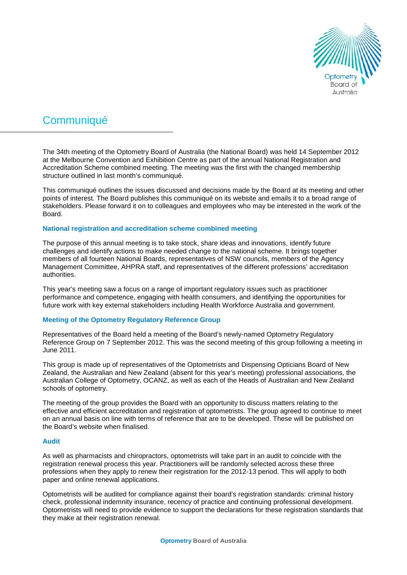

# **Communiqué**

The 34th meeting of the Optometry Board of Australia (the National Board) was held 14 September 2012 at the Melbourne Convention and Exhibition Centre as part of the annual National Registration and Accreditation Scheme combined meeting. The meeting was the first with the changed membership structure outlined in last month's communiqué.

This communiqué outlines the issues discussed and decisions made by the Board at its meeting and other points of interest. The Board publishes this communiqué on its website and emails it to a broad range of stakeholders. Please forward it on to colleagues and employees who may be interested in the work of the Board.

# **National registration and accreditation scheme combined meeting**

The purpose of this annual meeting is to take stock, share ideas and innovations, identify future challenges and identify actions to make needed change to the national scheme. It brings together members of all fourteen National Boards, representatives of NSW councils, members of the Agency Management Committee, AHPRA staff, and representatives of the different professions' accreditation authorities.

This year's meeting saw a focus on a range of important regulatory issues such as practitioner performance and competence, engaging with health consumers, and identifying the opportunities for future work with key external stakeholders including Health Workforce Australia and government.

# **Meeting of the Optometry Regulatory Reference Group**

Representatives of the Board held a meeting of the Board's newly-named Optometry Regulatory Reference Group on 7 September 2012. This was the second meeting of this group following a meeting in June 2011.

This group is made up of representatives of the Optometrists and Dispensing Opticians Board of New Zealand, the Australian and New Zealand (absent for this year's meeting) professional associations, the Australian College of Optometry, OCANZ, as well as each of the Heads of Australian and New Zealand schools of optometry.

The meeting of the group provides the Board with an opportunity to discuss matters relating to the effective and efficient accreditation and registration of optometrists. The group agreed to continue to meet on an annual basis on line with terms of reference that are to be developed. These will be published on the Board's website when finalised.

# **Audit**

As well as pharmacists and chiropractors, optometrists will take part in an audit to coincide with the registration renewal process this year. Practitioners will be randomly selected across these three professions when they apply to renew their registration for the 2012-13 period. This will apply to both paper and online renewal applications.

Optometrists will be audited for compliance against their board's registration standards: criminal history check, professional indemnity insurance, recency of practice and continuing professional development. Optometrists will need to provide evidence to support the declarations for these registration standards that they make at their registration renewal.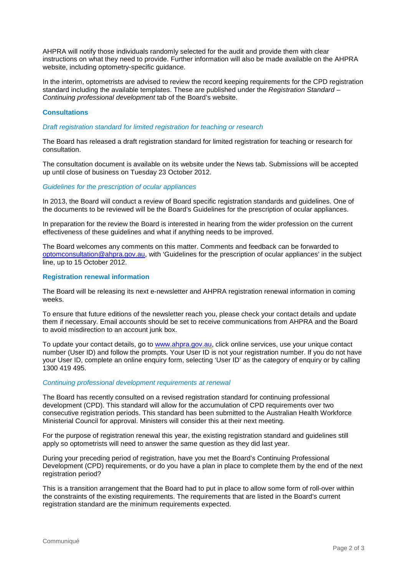AHPRA will notify those individuals randomly selected for the audit and provide them with clear instructions on what they need to provide. Further information will also be made available on the AHPRA website, including optometry-specific guidance.

In the interim, optometrists are advised to review the record keeping requirements for the CPD registration standard including the available templates. These are published under the *Registration Standard – Continuing professional development* tab of the Board's website.

## **Consultations**

*Draft registration standard for limited registration for teaching or research*

The Board has released a draft registration standard for limited registration for teaching or research for consultation.

The consultation document is available on its website under the News tab. Submissions will be accepted up until close of business on Tuesday 23 October 2012.

*Guidelines for the prescription of ocular appliances*

In 2013, the Board will conduct a review of Board specific registration standards and guidelines. One of the documents to be reviewed will be the Board's Guidelines for the prescription of ocular appliances.

In preparation for the review the Board is interested in hearing from the wider profession on the current effectiveness of these guidelines and what if anything needs to be improved.

The Board welcomes any comments on this matter. Comments and feedback can be forwarded to [optomconsultation@ahpra.gov.au,](mailto:optomconsultation@ahpra.gov.au) with 'Guidelines for the prescription of ocular appliances' in the subject line, up to 15 October 2012.

#### **Registration renewal information**

The Board will be releasing its next e-newsletter and AHPRA registration renewal information in coming weeks.

To ensure that future editions of the newsletter reach you, please check your contact details and update them if necessary. Email accounts should be set to receive communications from AHPRA and the Board to avoid misdirection to an account junk box.

To update your contact details, go to [www.ahpra.gov.au,](http://www.ahpra.gov.au/) click online services, use your unique contact number (User ID) and follow the prompts. Your User ID is not your registration number. If you do not have your User ID, complete an online enquiry form, selecting 'User ID' as the category of enquiry or by calling 1300 419 495.

#### *Continuing professional development requirements at renewal*

The Board has recently consulted on a revised registration standard for continuing professional development (CPD). This standard will allow for the accumulation of CPD requirements over two consecutive registration periods. This standard has been submitted to the Australian Health Workforce Ministerial Council for approval. Ministers will consider this at their next meeting.

For the purpose of registration renewal this year, the existing registration standard and guidelines still apply so optometrists will need to answer the same question as they did last year.

During your preceding period of registration, have you met the Board's Continuing Professional Development (CPD) requirements, or do you have a plan in place to complete them by the end of the next registration period?

This is a transition arrangement that the Board had to put in place to allow some form of roll-over within the constraints of the existing requirements. The requirements that are listed in the Board's current registration standard are the minimum requirements expected.